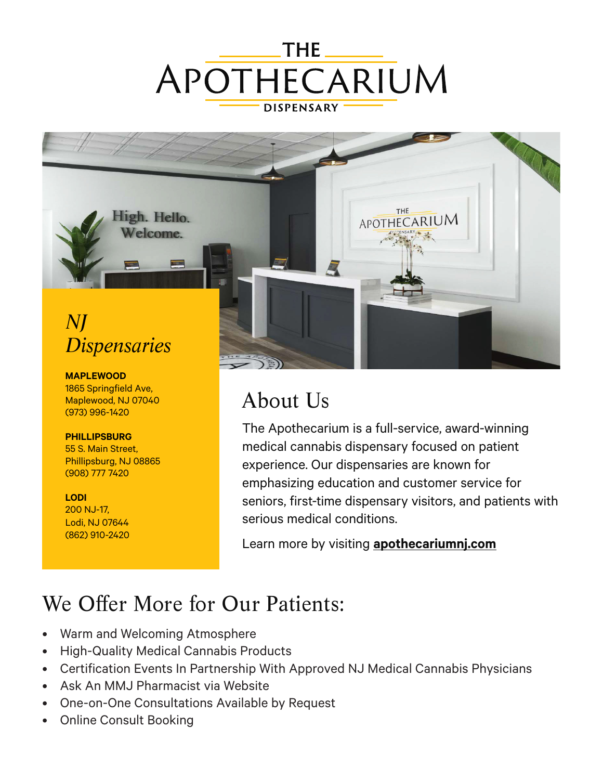



## About Us

The Apothecarium is a full-service, award-winning medical cannabis dispensary focused on patient experience. Our dispensaries are known for emphasizing education and customer service for seniors, first-time dispensary visitors, and patients with serious medical conditions.

Learn more by visiting **[apothecariumnj.com](https://apothecariumnj.com/)**

## We Offer More for Our Patients:

- Warm and Welcoming Atmosphere
- High-Quality Medical Cannabis Products
- Certification Events In Partnership With Approved NJ Medical Cannabis Physicians
- Ask An MMJ Pharmacist via Website
- One-on-One Consultations Available by Request
- Online Consult Booking

1865 Springfield Ave, Maplewood, NJ 07040 (973) 996-1420

**[PHILLIPSBURG](https://apothecariumnj.com/phillipsburg/)** 55 S. Main Street, Phillipsburg, NJ 08865 (908) 777 7420

**[LODI](https://apothecariumnj.com/lodi/)** 200 NJ-17, Lodi, NJ 07644 (862) 910-2420